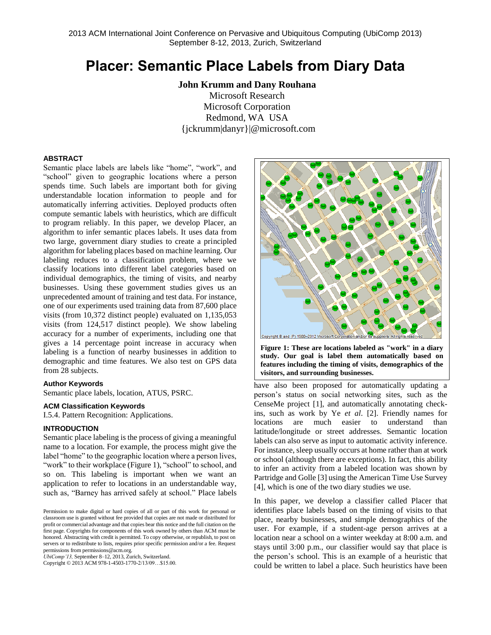# **Placer: Semantic Place Labels from Diary Data**

**John Krumm and Dany Rouhana** Microsoft Research Microsoft Corporation Redmond, WA USA {jckrumm|danyr}|@microsoft.com

### **ABSTRACT**

Semantic place labels are labels like "home", "work", and "school" given to geographic locations where a person spends time. Such labels are important both for giving understandable location information to people and for automatically inferring activities. Deployed products often compute semantic labels with heuristics, which are difficult to program reliably. In this paper, we develop Placer, an algorithm to infer semantic places labels. It uses data from two large, government diary studies to create a principled algorithm for labeling places based on machine learning. Our labeling reduces to a classification problem, where we classify locations into different label categories based on individual demographics, the timing of visits, and nearby businesses. Using these government studies gives us an unprecedented amount of training and test data. For instance, one of our experiments used training data from 87,600 place visits (from 10,372 distinct people) evaluated on 1,135,053 visits (from 124,517 distinct people). We show labeling accuracy for a number of experiments, including one that gives a 14 percentage point increase in accuracy when labeling is a function of nearby businesses in addition to demographic and time features. We also test on GPS data from 28 subjects.

### **Author Keywords**

Semantic place labels, location, ATUS, PSRC.

### **ACM Classification Keywords**

I.5.4. Pattern Recognition: Applications.

### **INTRODUCTION**

Semantic place labeling is the process of giving a meaningful name to a location. For example, the process might give the label "home" to the geographic location where a person lives, "work" to their workplace [\(Figure 1\)](#page-0-0), "school" to school, and so on. This labeling is important when we want an application to refer to locations in an understandable way, such as, "Barney has arrived safely at school." Place labels

*UbiComp'13,* September 8–12, 2013, Zurich, Switzerland.

Copyright © 2013 ACM 978-1-4503-1770-2/13/09…\$15.00.



<span id="page-0-0"></span>**Figure 1: These are locations labeled as "work" in a diary study. Our goal is label them automatically based on features including the timing of visits, demographics of the visitors, and surrounding businesses.**

have also been proposed for automatically updating a person's status on social networking sites, such as the CenseMe project [\[1\]](#page-7-0), and automatically annotating checkins, such as work by Ye *et al*. [\[2\]](#page-8-0). Friendly names for locations are much easier to understand than latitude/longitude or street addresses. Semantic location labels can also serve as input to automatic activity inference. For instance, sleep usually occurs at home rather than at work or school (although there are exceptions). In fact, this ability to infer an activity from a labeled location was shown by Partridge and Golle [\[3\]](#page-8-1) using the American Time Use Survey [\[4\]](#page-8-2), which is one of the two diary studies we use.

In this paper, we develop a classifier called Placer that identifies place labels based on the timing of visits to that place, nearby businesses, and simple demographics of the user. For example, if a student-age person arrives at a location near a school on a winter weekday at 8:00 a.m. and stays until 3:00 p.m., our classifier would say that place is the person's school. This is an example of a heuristic that could be written to label a place. Such heuristics have been

Permission to make digital or hard copies of all or part of this work for personal or classroom use is granted without fee provided that copies are not made or distributed for profit or commercial advantage and that copies bear this notice and the full citation on the first page. Copyrights for components of this work owned by others than ACM must be honored. Abstracting with credit is permitted. To copy otherwise, or republish, to post on servers or to redistribute to lists, requires prior specific permission and/or a fee. Request permissions from permissions@acm.org.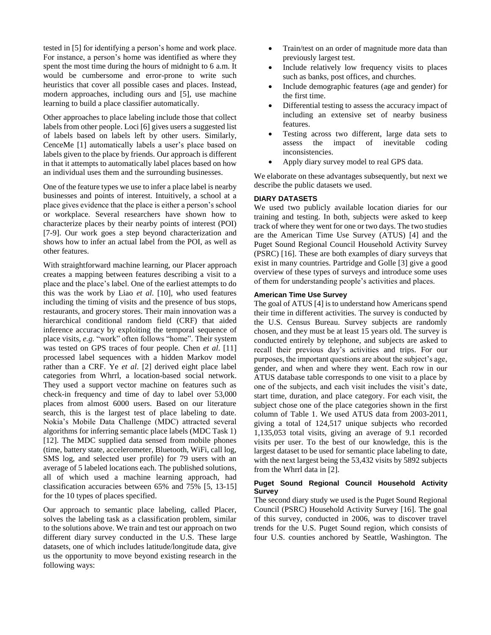tested in [\[5\]](#page-8-3) for identifying a person's home and work place. For instance, a person's home was identified as where they spent the most time during the hours of midnight to 6 a.m. It would be cumbersome and error-prone to write such heuristics that cover all possible cases and places. Instead, modern approaches, including ours and [\[5\]](#page-8-3), use machine learning to build a place classifier automatically.

Other approaches to place labeling include those that collect labels from other people. Loci [\[6\]](#page-8-4) gives users a suggested list of labels based on labels left by other users. Similarly, CenceMe [\[1\]](#page-7-0) automatically labels a user's place based on labels given to the place by friends. Our approach is different in that it attempts to automatically label places based on how an individual uses them and the surrounding businesses.

One of the feature types we use to infer a place label is nearby businesses and points of interest. Intuitively, a school at a place gives evidence that the place is either a person's school or workplace. Several researchers have shown how to characterize places by their nearby points of interest (POI) [\[7-9\]](#page-8-5). Our work goes a step beyond characterization and shows how to infer an actual label from the POI, as well as other features.

With straightforward machine learning, our Placer approach creates a mapping between features describing a visit to a place and the place's label. One of the earliest attempts to do this was the work by Liao *et al*. [\[10\]](#page-8-6), who used features including the timing of visits and the presence of bus stops, restaurants, and grocery stores. Their main innovation was a hierarchical conditional random field (CRF) that aided inference accuracy by exploiting the temporal sequence of place visits, *e.g.* "work" often follows "home". Their system was tested on GPS traces of four people. Chen *et al*. [\[11\]](#page-8-7) processed label sequences with a hidden Markov model rather than a CRF. Ye *et al*. [\[2\]](#page-8-0) derived eight place label categories from Whrrl, a location-based social network. They used a support vector machine on features such as check-in frequency and time of day to label over 53,000 places from almost 6000 users. Based on our literature search, this is the largest test of place labeling to date. Nokia's Mobile Data Challenge (MDC) attracted several algorithms for inferring semantic place labels (MDC Task 1) [\[12\]](#page-8-8). The MDC supplied data sensed from mobile phones (time, battery state, accelerometer, Bluetooth, WiFi, call log, SMS log, and selected user profile) for 79 users with an average of 5 labeled locations each. The published solutions, all of which used a machine learning approach, had classification accuracies between 65% and 75% [\[5,](#page-8-3) [13-15\]](#page-8-9) for the 10 types of places specified.

Our approach to semantic place labeling, called Placer, solves the labeling task as a classification problem, similar to the solutions above. We train and test our approach on two different diary survey conducted in the U.S. These large datasets, one of which includes latitude/longitude data, give us the opportunity to move beyond existing research in the following ways:

- Train/test on an order of magnitude more data than previously largest test.
- Include relatively low frequency visits to places such as banks, post offices, and churches.
- Include demographic features (age and gender) for the first time.
- Differential testing to assess the accuracy impact of including an extensive set of nearby business features.
- Testing across two different, large data sets to assess the impact of inevitable coding inconsistencies.
- Apply diary survey model to real GPS data.

We elaborate on these advantages subsequently, but next we describe the public datasets we used.

# **DIARY DATASETS**

We used two publicly available location diaries for our training and testing. In both, subjects were asked to keep track of where they went for one or two days. The two studies are the American Time Use Survey (ATUS) [\[4\]](#page-8-2) and the Puget Sound Regional Council Household Activity Survey (PSRC) [\[16\]](#page-8-10). These are both examples of diary surveys that exist in many countries. Partridge and Golle [\[3\]](#page-8-1) give a good overview of these types of surveys and introduce some uses of them for understanding people's activities and places.

### **American Time Use Survey**

The goal of ATUS [\[4\]](#page-8-2) is to understand how Americans spend their time in different activities. The survey is conducted by the U.S. Census Bureau. Survey subjects are randomly chosen, and they must be at least 15 years old. The survey is conducted entirely by telephone, and subjects are asked to recall their previous day's activities and trips. For our purposes, the important questions are about the subject's age, gender, and when and where they went. Each row in our ATUS database table corresponds to one visit to a place by one of the subjects, and each visit includes the visit's date, start time, duration, and place category. For each visit, the subject chose one of the place categories shown in the first column of [Table 1.](#page-2-0) We used ATUS data from 2003-2011, giving a total of 124,517 unique subjects who recorded 1,135,053 total visits, giving an average of 9.1 recorded visits per user. To the best of our knowledge, this is the largest dataset to be used for semantic place labeling to date, with the next largest being the 53,432 visits by 5892 subjects from the Whrrl data in [\[2\]](#page-8-0).

# **Puget Sound Regional Council Household Activity Survey**

The second diary study we used is the Puget Sound Regional Council (PSRC) Household Activity Survey [\[16\]](#page-8-10). The goal of this survey, conducted in 2006, was to discover travel trends for the U.S. Puget Sound region, which consists of four U.S. counties anchored by Seattle, Washington. The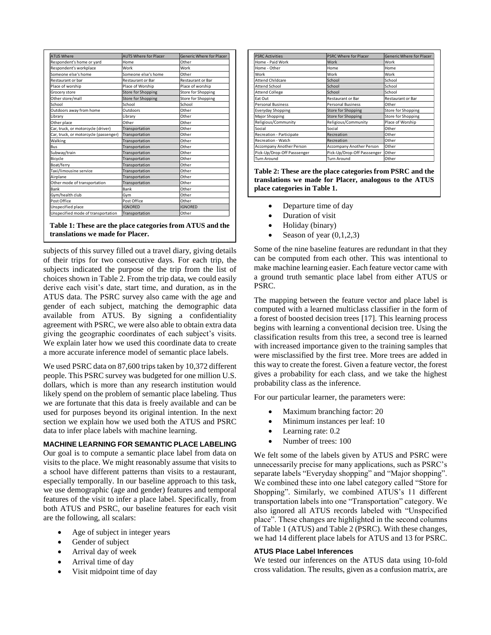| <b>ATUS Where</b>                     | <b>AUTS Where for Placer</b> | <b>Generic Where for Placer</b> |
|---------------------------------------|------------------------------|---------------------------------|
| Respondent's home or yard             | Home                         | Other                           |
| Respondent's workplace                | Work                         | Work                            |
| Someone else's home                   | Someone else's home          | Other                           |
| Restaurant or bar                     | <b>Restaurant or Bar</b>     | <b>Restaurant or Bar</b>        |
| Place of worship                      | Place of Worship             | Place of worship                |
| Grocery store                         | Store for Shopping           | Store for Shopping              |
| Other store/mall                      | Store for Shopping           | Store for Shopping              |
| School                                | School                       | School                          |
| Outdoors away from home               | Outdoors                     | Other                           |
| Library                               | Library                      | Other                           |
| Other place                           | Other                        | Other                           |
| Car, truck, or motorcycle (driver)    | Transportation               | Other                           |
| Car, truck, or motorcycle (passenger) | Transportation               | Other                           |
| Walking                               | Transportation               | Other                           |
| <b>Bus</b>                            | Transportation               | Other                           |
| Subway/train                          | Transportation               | Other                           |
| Bicycle                               | Transportation               | Other                           |
| Boat/ferry                            | Transportation               | Other                           |
| Taxi/limousine service                | Transportation               | Other                           |
| Airplane                              | Transportation               | Other                           |
| Other mode of transportation          | Transportation               | Other                           |
| Bank                                  | Bank                         | Other                           |
| Gym/health club                       | Gvm                          | Other                           |
| Post Office                           | Post Office                  | Other                           |
| Unspecified place                     | <b>IGNORFD</b>               | <b>IGNORFD</b>                  |
| Unspecified mode of transportation    | Transportation               | Other                           |

<span id="page-2-0"></span>**Table 1: These are the place categories from ATUS and the translations we made for Placer.**

subjects of this survey filled out a travel diary, giving details of their trips for two consecutive days. For each trip, the subjects indicated the purpose of the trip from the list of choices shown in [Table 2.](#page-2-1) From the trip data, we could easily derive each visit's date, start time, and duration, as in the ATUS data. The PSRC survey also came with the age and gender of each subject, matching the demographic data available from ATUS. By signing a confidentiality agreement with PSRC, we were also able to obtain extra data giving the geographic coordinates of each subject's visits. We explain later how we used this coordinate data to create a more accurate inference model of semantic place labels.

We used PSRC data on 87,600 trips taken by 10,372 different people. This PSRC survey was budgeted for one million U.S. dollars, which is more than any research institution would likely spend on the problem of semantic place labeling. Thus we are fortunate that this data is freely available and can be used for purposes beyond its original intention. In the next section we explain how we used both the ATUS and PSRC data to infer place labels with machine learning.

### **MACHINE LEARNING FOR SEMANTIC PLACE LABELING**

Our goal is to compute a semantic place label from data on visits to the place. We might reasonably assume that visits to a school have different patterns than visits to a restaurant, especially temporally. In our baseline approach to this task, we use demographic (age and gender) features and temporal features of the visit to infer a place label. Specifically, from both ATUS and PSRC, our baseline features for each visit are the following, all scalars:

- Age of subject in integer years
- Gender of subject
- Arrival day of week
- Arrival time of day
- Visit midpoint time of day

| <b>PSRC Activities</b>      | <b>PSRC Where for Placer</b> | <b>Generic Where for Placer</b> |
|-----------------------------|------------------------------|---------------------------------|
| Home - Paid Work            | Work                         | Work                            |
| Home - Other                | Home                         | Home                            |
| Work                        | Work                         | Work                            |
| <b>Attend Childcare</b>     | School                       | School                          |
| <b>Attend School</b>        | School                       | School                          |
| <b>Attend College</b>       | School                       | School                          |
| Eat Out                     | <b>Restaurant or Bar</b>     | <b>Restaurant or Bar</b>        |
| <b>Personal Business</b>    | <b>Personal Business</b>     | Other                           |
| <b>Everyday Shopping</b>    | Store for Shopping           | Store for Shopping              |
| Major Shopping              | <b>Store for Shopping</b>    | Store for Shopping              |
| Religious/Community         | Religious/Community          | Place of Worship                |
| Social                      | Social                       | Other                           |
| Recreation - Participate    | Recreation                   | Other                           |
| Recreation - Watch          | Recreation                   | Other                           |
| Accompany Another Person    | Accompany Another Person     | Other                           |
| Pick-Up/Drop-Off Passsenger | Pick-Up/Drop-Off Passsenger  | Other                           |
| <b>Turn Around</b>          | <b>Turn Around</b>           | Other                           |

<span id="page-2-1"></span>**Table 2: These are the place categories from PSRC and the translations we made for Placer, analogous to the ATUS place categories in [Table 1.](#page-2-0)**

- Departure time of day
- Duration of visit
- Holiday (binary)
- Season of year  $(0,1,2,3)$

Some of the nine baseline features are redundant in that they can be computed from each other. This was intentional to make machine learning easier. Each feature vector came with a ground truth semantic place label from either ATUS or PSRC.

The mapping between the feature vector and place label is computed with a learned multiclass classifier in the form of a forest of boosted decision trees [\[17\]](#page-8-11). This learning process begins with learning a conventional decision tree. Using the classification results from this tree, a second tree is learned with increased importance given to the training samples that were misclassified by the first tree. More trees are added in this way to create the forest. Given a feature vector, the forest gives a probability for each class, and we take the highest probability class as the inference.

For our particular learner, the parameters were:

- Maximum branching factor: 20
- Minimum instances per leaf: 10
- Learning rate: 0.2
- Number of trees: 100

We felt some of the labels given by ATUS and PSRC were unnecessarily precise for many applications, such as PSRC's separate labels "Everyday shopping" and "Major shopping". We combined these into one label category called "Store for Shopping". Similarly, we combined ATUS's 11 different transportation labels into one "Transportation" category. We also ignored all ATUS records labeled with "Unspecified place". These changes are highlighted in the second columns o[f Table 1](#page-2-0) (ATUS) an[d Table 2](#page-2-1) (PSRC). With these changes, we had 14 different place labels for ATUS and 13 for PSRC.

# **ATUS Place Label Inferences**

We tested our inferences on the ATUS data using 10-fold cross validation. The results, given as a confusion matrix, are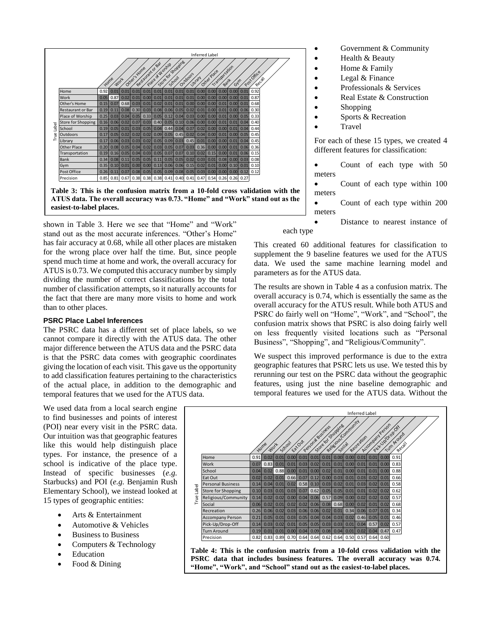

<span id="page-3-0"></span>shown in [Table 3.](#page-3-0) Here we see that "Home" and "Work" stand out as the most accurate inferences. "Other's Home" has fair accuracy at 0.68, while all other places are mistaken for the wrong place over half the time. But, since people spend much time at home and work, the overall accuracy for ATUS is 0.73. We computed this accuracy number by simply dividing the number of correct classifications by the total number of classification attempts, so it naturally accounts for the fact that there are many more visits to home and work than to other places.

### **PSRC Place Label Inferences**

The PSRC data has a different set of place labels, so we cannot compare it directly with the ATUS data. The other major difference between the ATUS data and the PSRC data is that the PSRC data comes with geographic coordinates giving the location of each visit. This gave us the opportunity to add classification features pertaining to the characteristics of the actual place, in addition to the demographic and temporal features that we used for the ATUS data.

We used data from a local search engine to find businesses and points of interest (POI) near every visit in the PSRC data. Our intuition was that geographic features like this would help distinguish place types. For instance, the presence of a school is indicative of the place type. Instead of specific businesses (*e.g.* Starbucks) and POI (*e.g.* Benjamin Rush Elementary School), we instead looked at 15 types of geographic entities:

- Arts & Entertainment
- Automotive & Vehicles
- Business to Business
- Computers & Technology
- Education
- Food & Dining
- Government & Community
- Health & Beauty
- Home & Family
- Legal & Finance
- Professionals & Services
- Real Estate & Construction
- Shopping
- Sports & Recreation
- Travel

For each of these 15 types, we created 4 different features for classification:

- Count of each type with 50 meters
- Count of each type within 100 meters
- Count of each type within 200 meters

 Distance to nearest instance of each type

This created 60 additional features for classification to supplement the 9 baseline features we used for the ATUS data. We used the same machine learning model and parameters as for the ATUS data.

The results are shown in [Table 4](#page-3-1) as a confusion matrix. The overall accuracy is 0.74, which is essentially the same as the overall accuracy for the ATUS result. While both ATUS and PSRC do fairly well on "Home", "Work", and "School", the confusion matrix shows that PSRC is also doing fairly well on less frequently visited locations such as "Personal Business", "Shopping", and "Religious/Community".

We suspect this improved performance is due to the extra geographic features that PSRC lets us use. We tested this by rerunning our test on the PSRC data without the geographic features, using just the nine baseline demographic and temporal features we used for the ATUS data. Without the



<span id="page-3-1"></span>**Table 4: This is the confusion matrix from a 10-fold cross validation with the PSRC data that includes business features. The overall accuracy was 0.74. "Home", "Work", and "School" stand out as the easiest-to-label places.**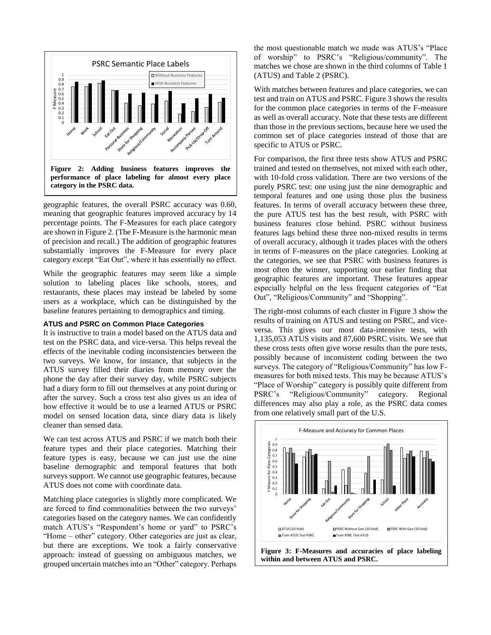

<span id="page-4-0"></span>geographic features, the overall PSRC accuracy was 0.60, meaning that geographic features improved accuracy by 14 percentage points. The F-Measures for each place category are shown i[n Figure 2.](#page-4-0) (The F-Measure is the harmonic mean of precision and recall.) The addition of geographic features substantially improves the F-Measure for every place category except "Eat Out", where it has essentially no effect.

While the geographic features may seem like a simple solution to labeling places like schools, stores, and restaurants, these places may instead be labeled by some users as a workplace, which can be distinguished by the baseline features pertaining to demographics and timing.

### **ATUS and PSRC on Common Place Categories**

It is instructive to train a model based on the ATUS data and test on the PSRC data, and vice-versa. This helps reveal the effects of the inevitable coding inconsistencies between the two surveys. We know, for instance, that subjects in the ATUS survey filled their diaries from memory over the phone the day after their survey day, while PSRC subjects had a diary form to fill out themselves at any point during or after the survey. Such a cross test also gives us an idea of how effective it would be to use a learned ATUS or PSRC model on sensed location data, since diary data is likely cleaner than sensed data.

We can test across ATUS and PSRC if we match both their feature types and their place categories. Matching their feature types is easy, because we can just use the nine baseline demographic and temporal features that both surveys support. We cannot use geographic features, because ATUS does not come with coordinate data.

Matching place categories is slightly more complicated. We are forced to find commonalities between the two surveys' categories based on the category names. We can confidently match ATUS's "Respondent's home or yard" to PSRC's "Home – other" category. Other categories are just as clear, but there are exceptions. We took a fairly conservative approach: instead of guessing on ambiguous matches, we grouped uncertain matchesinto an "Other" category. Perhaps

the most questionable match we made was ATUS's "Place of worship" to PSRC's "Religious/community". The matches we chose are shown in the third columns of [Table 1](#page-2-0) (ATUS) and [Table 2](#page-2-1) (PSRC).

With matches between features and place categories, we can test and train on ATUS and PSRC[. Figure 3](#page-4-1) shows the results for the common place categories in terms of the F-measure as well as overall accuracy. Note that these tests are different than those in the previous sections, because here we used the common set of place categories instead of those that are specific to ATUS or PSRC.

For comparison, the first three tests show ATUS and PSRC trained and tested on themselves, not mixed with each other, with 10-fold cross validation. There are two versions of the purely PSRC test: one using just the nine demographic and temporal features and one using those plus the business features. In terms of overall accuracy between these three, the pure ATUS test has the best result, with PSRC with business features close behind. PSRC without business features lags behind these three non-mixed results in terms of overall accuracy, although it trades places with the others in terms of F-measures on the place categories. Looking at the categories, we see that PSRC with business features is most often the winner, supporting our earlier finding that geographic features are important. These features appear especially helpful on the less frequent categories of "Eat Out", "Religious/Community" and "Shopping".

The right-most columns of each cluster in [Figure 3](#page-4-1) show the results of training on ATUS and testing on PSRC, and viceversa. This gives our most data-intensive tests, with 1,135,053 ATUS visits and 87,600 PSRC visits. We see that these cross tests often give worse results than the pure tests, possibly because of inconsistent coding between the two surveys. The category of "Religious/Community" has low Fmeasures for both mixed tests. This may be because ATUS's "Place of Worship" category is possibly quite different from PSRC's "Religious/Community" category. Regional differences may also play a role, as the PSRC data comes from one relatively small part of the U.S.



<span id="page-4-1"></span>**within and between ATUS and PSRC.**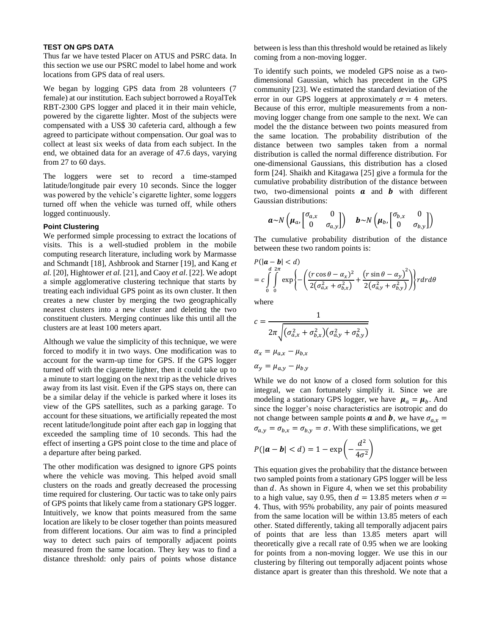### **TEST ON GPS DATA**

Thus far we have tested Placer on ATUS and PSRC data. In this section we use our PSRC model to label home and work locations from GPS data of real users.

We began by logging GPS data from 28 volunteers (7 female) at our institution. Each subject borrowed a RoyalTek RBT-2300 GPS logger and placed it in their main vehicle, powered by the cigarette lighter. Most of the subjects were compensated with a US\$ 30 cafeteria card, although a few agreed to participate without compensation. Our goal was to collect at least six weeks of data from each subject. In the end, we obtained data for an average of 47.6 days, varying from 27 to 60 days.

The loggers were set to record a time-stamped latitude/longitude pair every 10 seconds. Since the logger was powered by the vehicle's cigarette lighter, some loggers turned off when the vehicle was turned off, while others logged continuously.

### **Point Clustering**

We performed simple processing to extract the locations of visits. This is a well-studied problem in the mobile computing research literature, including work by Marmasse and Schmandt [\[18\]](#page-8-12), Ashbrook and Starner [\[19\]](#page-8-13), and Kang *et al.* [\[20\]](#page-8-14), Hightower *et al.* [\[21\]](#page-8-15), and Caoy *et al*. [\[22\]](#page-8-16). We adopt a simple agglomerative clustering technique that starts by treating each individual GPS point as its own cluster. It then creates a new cluster by merging the two geographically nearest clusters into a new cluster and deleting the two constituent clusters. Merging continues like this until all the clusters are at least 100 meters apart.

Although we value the simplicity of this technique, we were forced to modify it in two ways. One modification was to account for the warm-up time for GPS. If the GPS logger turned off with the cigarette lighter, then it could take up to a minute to start logging on the next trip as the vehicle drives away from its last visit. Even if the GPS stays on, there can be a similar delay if the vehicle is parked where it loses its view of the GPS satellites, such as a parking garage. To account for these situations, we artificially repeated the most recent latitude/longitude point after each gap in logging that exceeded the sampling time of 10 seconds. This had the effect of inserting a GPS point close to the time and place of a departure after being parked.

The other modification was designed to ignore GPS points where the vehicle was moving. This helped avoid small clusters on the roads and greatly decreased the processing time required for clustering. Our tactic was to take only pairs of GPS points that likely came from a stationary GPS logger. Intuitively, we know that points measured from the same location are likely to be closer together than points measured from different locations. Our aim was to find a principled way to detect such pairs of temporally adjacent points measured from the same location. They key was to find a distance threshold: only pairs of points whose distance between is less than this threshold would be retained as likely coming from a non-moving logger.

To identify such points, we modeled GPS noise as a twodimensional Gaussian, which has precedent in the GPS community [\[23\]](#page-8-17). We estimated the standard deviation of the error in our GPS loggers at approximately  $\sigma = 4$  meters. Because of this error, multiple measurements from a nonmoving logger change from one sample to the next. We can model the the distance between two points measured from the same location. The probability distribution of the distance between two samples taken from a normal distribution is called the normal difference distribution. For one-dimensional Gaussians, this distribution has a closed form [\[24\]](#page-8-18). Shaikh and Kitagawa [\[25\]](#page-8-19) give a formula for the cumulative probability distribution of the distance between two, two-dimensional points  $a$  and  $b$  with different Gaussian distributions:

$$
\boldsymbol{a} \sim N\left(\boldsymbol{\mu}_a, \begin{bmatrix} \sigma_{a,x} & 0 \\ 0 & \sigma_{a,y} \end{bmatrix}\right) \quad \boldsymbol{b} \sim N\left(\boldsymbol{\mu}_b, \begin{bmatrix} \sigma_{b,x} & 0 \\ 0 & \sigma_{b,y} \end{bmatrix}\right)
$$

The cumulative probability distribution of the distance between these two random points is:

$$
P(|\boldsymbol{a}-\boldsymbol{b}| < d)
$$
  
=  $c \int_{0}^{d} \int_{0}^{2\pi} \exp \left\{-\left(\frac{(r\cos\theta-\alpha_{x})^{2}}{2(\sigma_{a,x}^{2}+\sigma_{b,x}^{2})}+\frac{(r\sin\theta-\alpha_{y})^{2}}{2(\sigma_{a,y}^{2}+\sigma_{b,y}^{2})}\right)\right\} r dr d\theta$ 

where

$$
c = \frac{1}{2\pi \sqrt{(\sigma_{a,x}^2 + \sigma_{b,x}^2)(\sigma_{a,y}^2 + \sigma_{b,y}^2)}}
$$
  
\n
$$
\alpha_x = \mu_{a,x} - \mu_{b,x}
$$
  
\n
$$
\alpha_y = \mu_{a,y} - \mu_{b,y}
$$

While we do not know of a closed form solution for this integral, we can fortunately simplify it. Since we are modeling a stationary GPS logger, we have  $\mu_a = \mu_b$ . And since the logger's noise characteristics are isotropic and do not change between sample points **a** and **b**, we have  $\sigma_{a,x}$  =  $\sigma_{a,v} = \sigma_{b,x} = \sigma_{b,v} = \sigma$ . With these simplifications, we get

$$
P(|\boldsymbol{a}-\boldsymbol{b}|
$$

This equation gives the probability that the distance between two sampled points from a stationary GPS logger will be less than  $d$ . As shown in [Figure 4,](#page-6-0) when we set this probability to a high value, say 0.95, then  $d = 13.85$  meters when  $\sigma =$ 4. Thus, with 95% probability, any pair of points measured from the same location will be within 13.85 meters of each other. Stated differently, taking all temporally adjacent pairs of points that are less than 13.85 meters apart will theoretically give a recall rate of 0.95 when we are looking for points from a non-moving logger. We use this in our clustering by filtering out temporally adjacent points whose distance apart is greater than this threshold. We note that a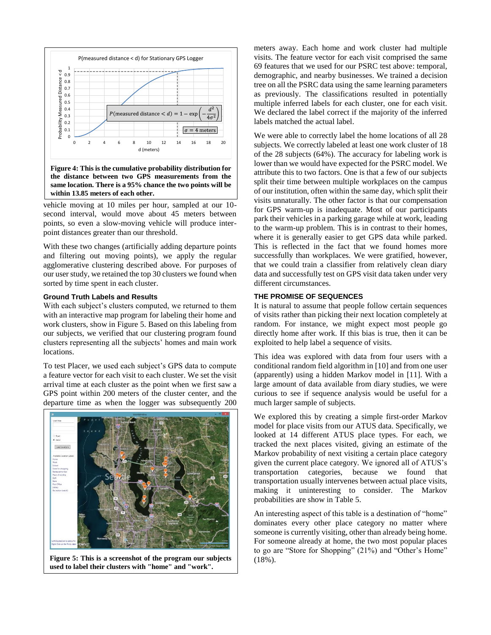

<span id="page-6-0"></span>**the distance between two GPS measurements from the same location. There is a 95% chance the two points will be within 13.85 meters of each other.**

vehicle moving at 10 miles per hour, sampled at our 10 second interval, would move about 45 meters between points, so even a slow-moving vehicle will produce interpoint distances greater than our threshold.

With these two changes (artificially adding departure points and filtering out moving points), we apply the regular agglomerative clustering described above. For purposes of our user study, we retained the top 30 clusters we found when sorted by time spent in each cluster.

### **Ground Truth Labels and Results**

With each subject's clusters computed, we returned to them with an interactive map program for labeling their home and work clusters, show in [Figure 5.](#page-6-1) Based on this labeling from our subjects, we verified that our clustering program found clusters representing all the subjects' homes and main work locations.

To test Placer, we used each subject's GPS data to compute a feature vector for each visit to each cluster. We set the visit arrival time at each cluster as the point when we first saw a GPS point within 200 meters of the cluster center, and the departure time as when the logger was subsequently 200



<span id="page-6-1"></span>**Figure 5: This is a screenshot of the program our subjects** | (18%). **used to label their clusters with "home" and "work".**

meters away. Each home and work cluster had multiple visits. The feature vector for each visit comprised the same 69 features that we used for our PSRC test above: temporal, demographic, and nearby businesses. We trained a decision tree on all the PSRC data using the same learning parameters as previously. The classifications resulted in potentially multiple inferred labels for each cluster, one for each visit. We declared the label correct if the majority of the inferred labels matched the actual label.

We were able to correctly label the home locations of all 28 subjects. We correctly labeled at least one work cluster of 18 of the 28 subjects (64%). The accuracy for labeling work is lower than we would have expected for the PSRC model. We attribute this to two factors. One is that a few of our subjects split their time between multiple workplaces on the campus of our institution, often within the same day, which split their visits unnaturally. The other factor is that our compensation for GPS warm-up is inadequate. Most of our participants park their vehicles in a parking garage while at work, leading to the warm-up problem. This is in contrast to their homes, where it is generally easier to get GPS data while parked. This is reflected in the fact that we found homes more successfully than workplaces. We were gratified, however, that we could train a classifier from relatively clean diary data and successfully test on GPS visit data taken under very different circumstances.

# **THE PROMISE OF SEQUENCES**

It is natural to assume that people follow certain sequences of visits rather than picking their next location completely at random. For instance, we might expect most people go directly home after work. If this bias is true, then it can be exploited to help label a sequence of visits.

This idea was explored with data from four users with a conditional random field algorithm in [\[10\]](#page-8-6) and from one user (apparently) using a hidden Markov model in [\[11\]](#page-8-7). With a large amount of data available from diary studies, we were curious to see if sequence analysis would be useful for a much larger sample of subjects.

We explored this by creating a simple first-order Markov model for place visits from our ATUS data. Specifically, we looked at 14 different ATUS place types. For each, we tracked the next places visited, giving an estimate of the Markov probability of next visiting a certain place category given the current place category. We ignored all of ATUS's transportation categories, because we found that transportation usually intervenes between actual place visits, making it uninteresting to consider. The Markov probabilities are show in [Table 5.](#page-7-1)

An interesting aspect of this table is a destination of "home" dominates every other place category no matter where someone is currently visiting, other than already being home. For someone already at home, the two most popular places to go are "Store for Shopping" (21%) and "Other's Home"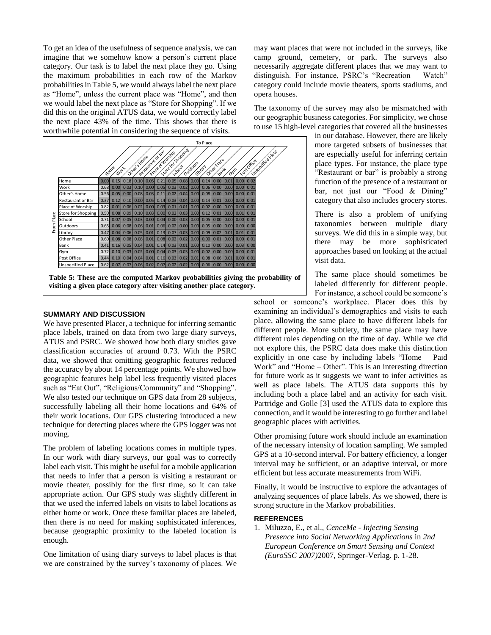To get an idea of the usefulness of sequence analysis, we can imagine that we somehow know a person's current place category. Our task is to label the next place they go. Using the maximum probabilities in each row of the Markov probabilities i[n Table 5,](#page-7-1) we would always label the next place as "Home", unless the current place was "Home", and then we would label the next place as "Store for Shopping". If we did this on the original ATUS data, we would correctly label the next place 43% of the time. This shows that there is worthwhile potential in considering the sequence of visits.



<span id="page-7-1"></span>**Table 5: These are the computed Markov probabilities giving the probability of visiting a given place category after visiting another place category.**

### **SUMMARY AND DISCUSSION**

We have presented Placer, a technique for inferring semantic place labels, trained on data from two large diary surveys, ATUS and PSRC. We showed how both diary studies gave classification accuracies of around 0.73. With the PSRC data, we showed that omitting geographic features reduced the accuracy by about 14 percentage points. We showed how geographic features help label less frequently visited places such as "Eat Out", "Religious/Community" and "Shopping". We also tested our technique on GPS data from 28 subjects, successfully labeling all their home locations and 64% of their work locations. Our GPS clustering introduced a new technique for detecting places where the GPS logger was not moving.

The problem of labeling locations comes in multiple types. In our work with diary surveys, our goal was to correctly label each visit. This might be useful for a mobile application that needs to infer that a person is visiting a restaurant or movie theater, possibly for the first time, so it can take appropriate action. Our GPS study was slightly different in that we used the inferred labels on visits to label locations as either home or work. Once these familiar places are labeled, then there is no need for making sophisticated inferences, because geographic proximity to the labeled location is enough.

One limitation of using diary surveys to label places is that we are constrained by the survey's taxonomy of places. We

may want places that were not included in the surveys, like camp ground, cemetery, or park. The surveys also necessarily aggregate different places that we may want to distinguish. For instance, PSRC's "Recreation – Watch" category could include movie theaters, sports stadiums, and opera houses.

The taxonomy of the survey may also be mismatched with our geographic business categories. For simplicity, we chose to use 15 high-level categories that covered all the businesses

> in our database. However, there are likely more targeted subsets of businesses that are especially useful for inferring certain place types. For instance, the place type "Restaurant or bar" is probably a strong function of the presence of a restaurant or bar, not just our "Food & Dining" category that also includes grocery stores.

> There is also a problem of unifying taxonomies between multiple diary surveys. We did this in a simple way, but there may be more sophisticated approaches based on looking at the actual visit data.

> The same place should sometimes be labeled differently for different people. For instance, a school could be someone's

school or someone's workplace. Placer does this by examining an individual's demographics and visits to each place, allowing the same place to have different labels for different people. More subtlety, the same place may have different roles depending on the time of day. While we did not explore this, the PSRC data does make this distinction explicitly in one case by including labels "Home – Paid Work" and "Home – Other". This is an interesting direction for future work as it suggests we want to infer activities as well as place labels. The ATUS data supports this by including both a place label and an activity for each visit. Partridge and Golle [\[3\]](#page-8-1) used the ATUS data to explore this connection, and it would be interesting to go further and label geographic places with activities.

Other promising future work should include an examination of the necessary intensity of location sampling. We sampled GPS at a 10-second interval. For battery efficiency, a longer interval may be sufficient, or an adaptive interval, or more efficient but less accurate measurements from WiFi.

Finally, it would be instructive to explore the advantages of analyzing sequences of place labels. As we showed, there is strong structure in the Markov probabilities.

### **REFERENCES**

<span id="page-7-0"></span>1. Miluzzo, E., et al., *CenceMe - Injecting Sensing Presence into Social Networking Applications* in *2nd European Conference on Smart Sensing and Context (EuroSSC 2007)*2007, Springer-Verlag. p. 1-28.